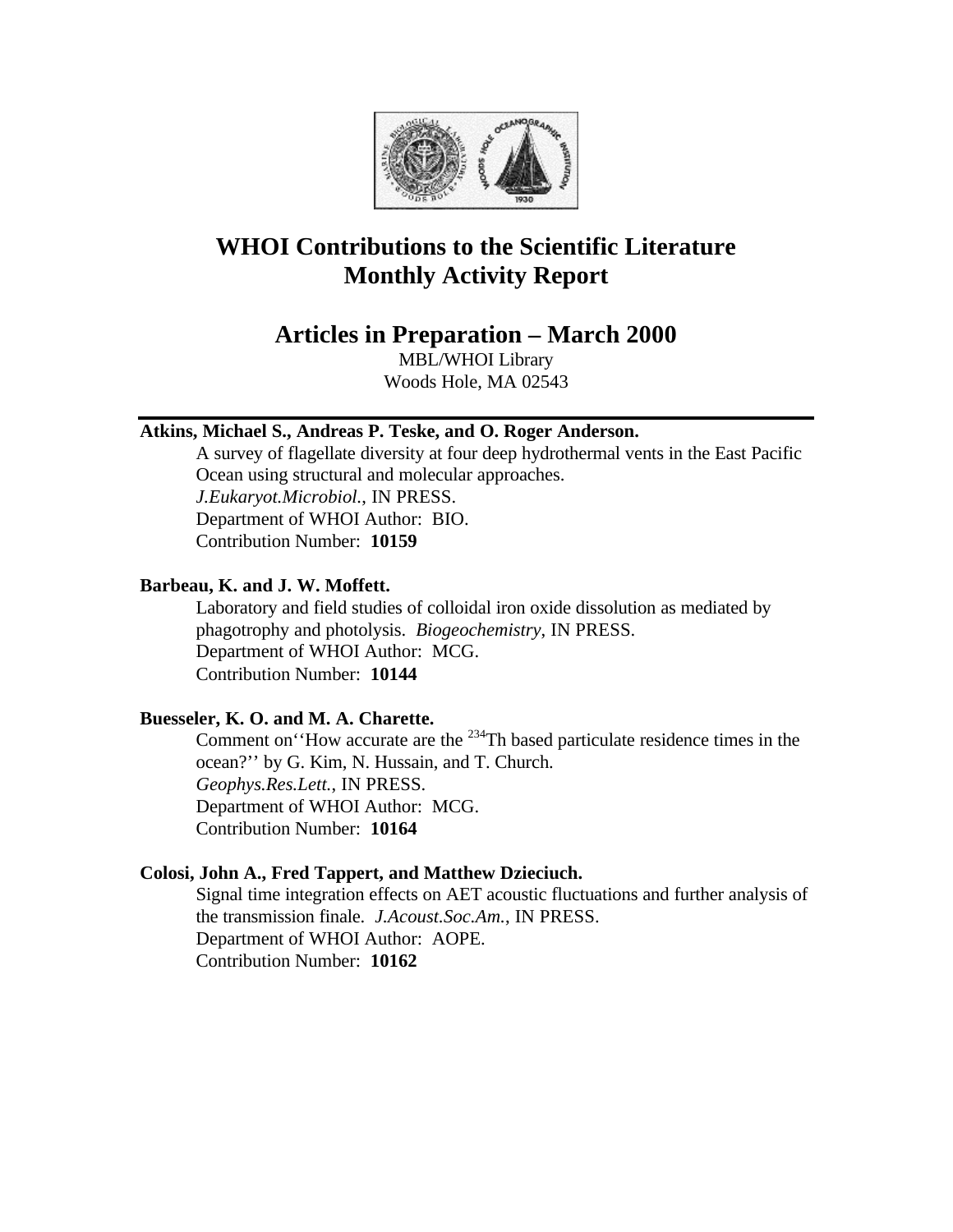

# **WHOI Contributions to the Scientific Literature Monthly Activity Report**

# **Articles in Preparation – March 2000**

MBL/WHOI Library Woods Hole, MA 02543

# **Atkins, Michael S., Andreas P. Teske, and O. Roger Anderson.**

A survey of flagellate diversity at four deep hydrothermal vents in the East Pacific Ocean using structural and molecular approaches. *J.Eukaryot.Microbiol.*, IN PRESS. Department of WHOI Author: BIO. Contribution Number: **10159**

### **Barbeau, K. and J. W. Moffett.**

Laboratory and field studies of colloidal iron oxide dissolution as mediated by phagotrophy and photolysis. *Biogeochemistry*, IN PRESS. Department of WHOI Author: MCG. Contribution Number: **10144**

# **Buesseler, K. O. and M. A. Charette.**

Comment on''How accurate are the <sup>234</sup>Th based particulate residence times in the ocean?'' by G. Kim, N. Hussain, and T. Church. *Geophys.Res.Lett.*, IN PRESS. Department of WHOI Author: MCG. Contribution Number: **10164**

#### **Colosi, John A., Fred Tappert, and Matthew Dzieciuch.**

Signal time integration effects on AET acoustic fluctuations and further analysis of the transmission finale. *J.Acoust.Soc.Am.*, IN PRESS. Department of WHOI Author: AOPE. Contribution Number: **10162**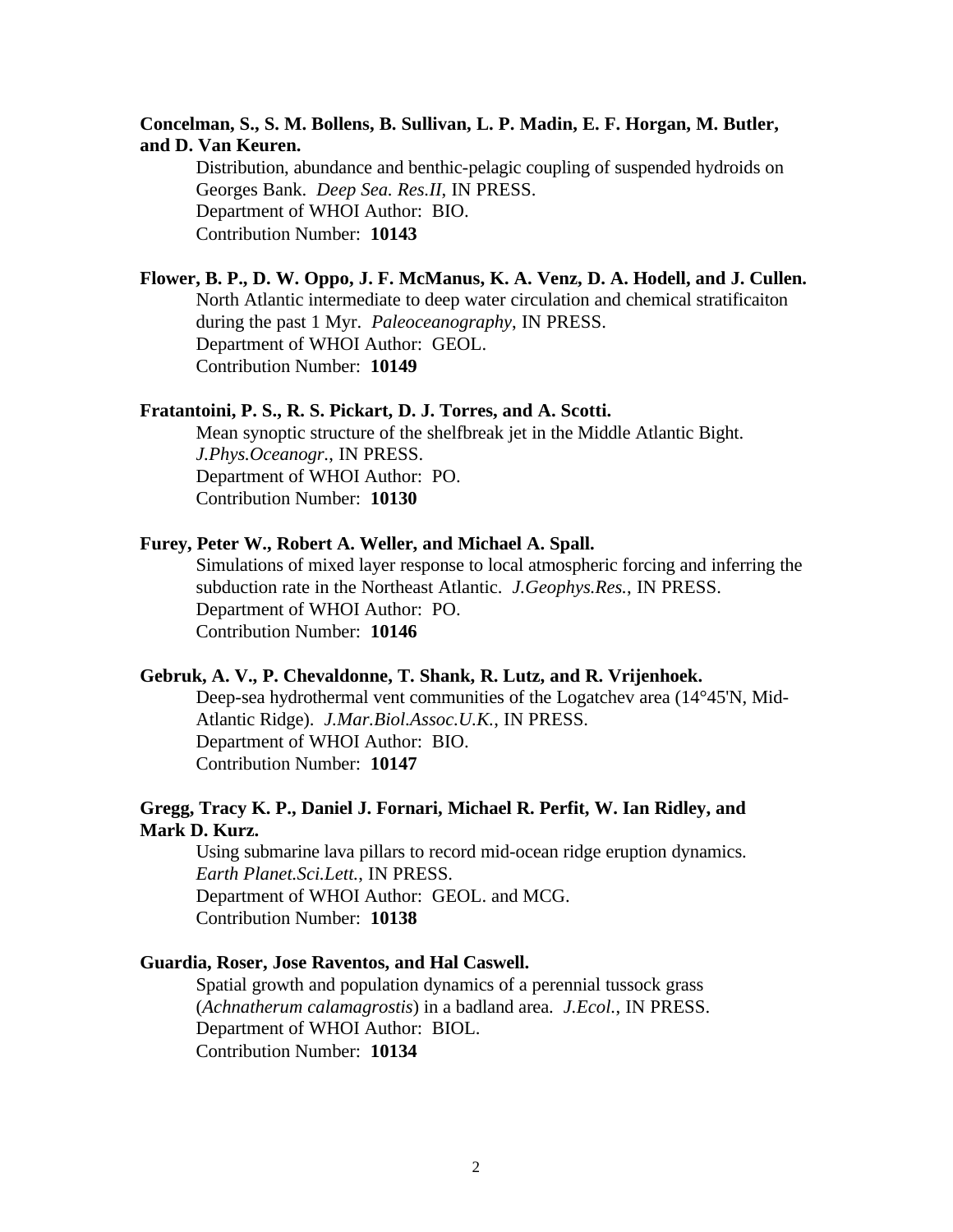# **Concelman, S., S. M. Bollens, B. Sullivan, L. P. Madin, E. F. Horgan, M. Butler, and D. Van Keuren.**

Distribution, abundance and benthic-pelagic coupling of suspended hydroids on Georges Bank. *Deep Sea. Res.II*, IN PRESS. Department of WHOI Author: BIO. Contribution Number: **10143**

# **Flower, B. P., D. W. Oppo, J. F. McManus, K. A. Venz, D. A. Hodell, and J. Cullen.**

North Atlantic intermediate to deep water circulation and chemical stratificaiton during the past 1 Myr. *Paleoceanography*, IN PRESS. Department of WHOI Author: GEOL. Contribution Number: **10149**

#### **Fratantoini, P. S., R. S. Pickart, D. J. Torres, and A. Scotti.**

Mean synoptic structure of the shelfbreak jet in the Middle Atlantic Bight. *J.Phys.Oceanogr.*, IN PRESS. Department of WHOI Author: PO. Contribution Number: **10130**

#### **Furey, Peter W., Robert A. Weller, and Michael A. Spall.**

Simulations of mixed layer response to local atmospheric forcing and inferring the subduction rate in the Northeast Atlantic. *J.Geophys.Res.*, IN PRESS. Department of WHOI Author: PO. Contribution Number: **10146**

#### **Gebruk, A. V., P. Chevaldonne, T. Shank, R. Lutz, and R. Vrijenhoek.**

Deep-sea hydrothermal vent communities of the Logatchev area (14°45'N, Mid-Atlantic Ridge). *J.Mar.Biol.Assoc.U.K.*, IN PRESS. Department of WHOI Author: BIO. Contribution Number: **10147**

# **Gregg, Tracy K. P., Daniel J. Fornari, Michael R. Perfit, W. Ian Ridley, and Mark D. Kurz.**

Using submarine lava pillars to record mid-ocean ridge eruption dynamics. *Earth Planet.Sci.Lett.*, IN PRESS. Department of WHOI Author: GEOL. and MCG. Contribution Number: **10138**

#### **Guardia, Roser, Jose Raventos, and Hal Caswell.**

Spatial growth and population dynamics of a perennial tussock grass (*Achnatherum calamagrostis*) in a badland area. *J.Ecol.*, IN PRESS. Department of WHOI Author: BIOL. Contribution Number: **10134**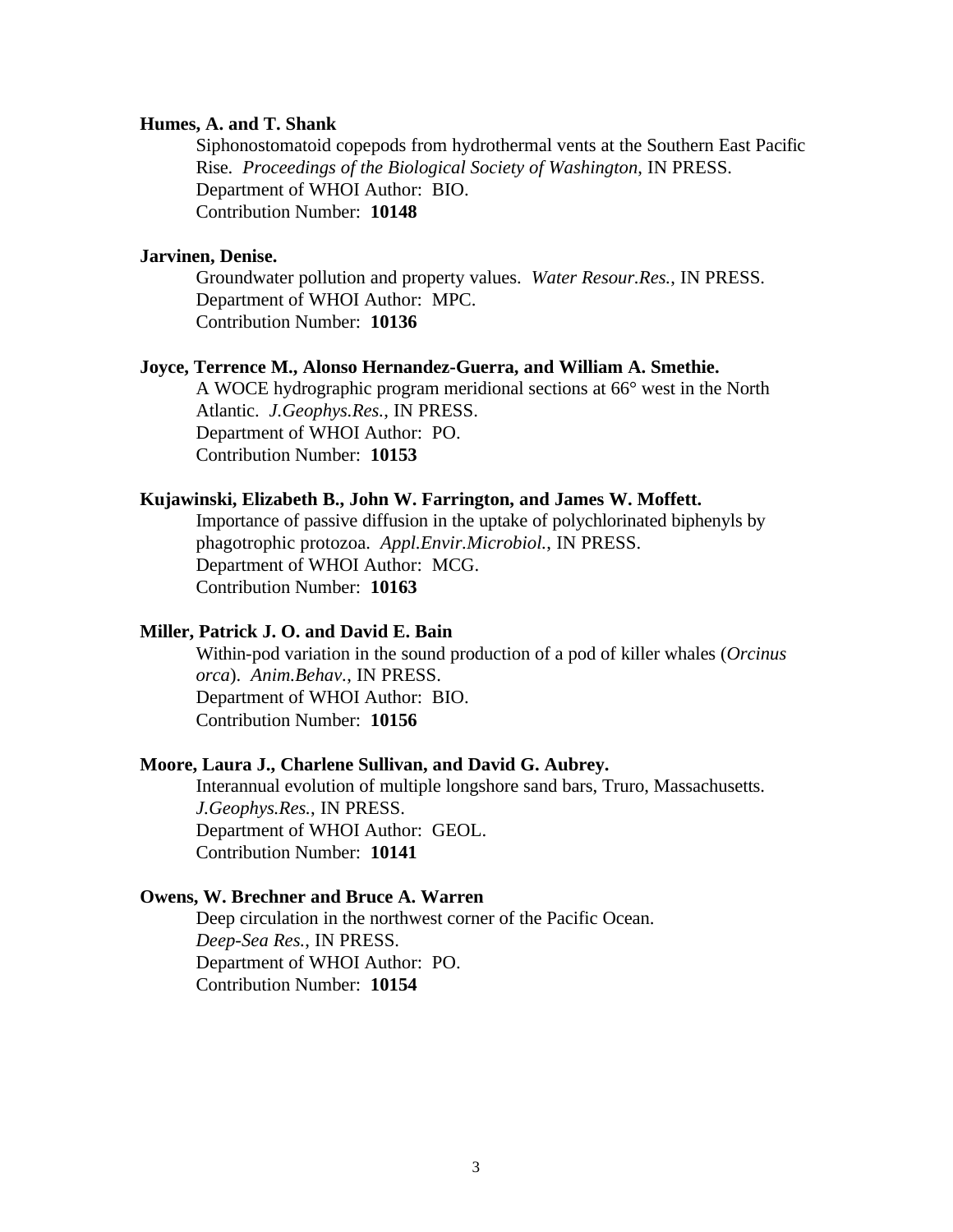#### **Humes, A. and T. Shank**

Siphonostomatoid copepods from hydrothermal vents at the Southern East Pacific Rise. *Proceedings of the Biological Society of Washington*, IN PRESS. Department of WHOI Author: BIO. Contribution Number: **10148**

#### **Jarvinen, Denise.**

Groundwater pollution and property values. *Water Resour.Res.*, IN PRESS. Department of WHOI Author: MPC. Contribution Number: **10136**

#### **Joyce, Terrence M., Alonso Hernandez-Guerra, and William A. Smethie.**

A WOCE hydrographic program meridional sections at 66° west in the North Atlantic. *J.Geophys.Res.*, IN PRESS. Department of WHOI Author: PO. Contribution Number: **10153**

#### **Kujawinski, Elizabeth B., John W. Farrington, and James W. Moffett.**

Importance of passive diffusion in the uptake of polychlorinated biphenyls by phagotrophic protozoa. *Appl.Envir.Microbiol.*, IN PRESS. Department of WHOI Author: MCG. Contribution Number: **10163**

#### **Miller, Patrick J. O. and David E. Bain**

Within-pod variation in the sound production of a pod of killer whales (*Orcinus orca*). *Anim.Behav.*, IN PRESS. Department of WHOI Author: BIO. Contribution Number: **10156**

#### **Moore, Laura J., Charlene Sullivan, and David G. Aubrey.**

Interannual evolution of multiple longshore sand bars, Truro, Massachusetts. *J.Geophys.Res.*, IN PRESS. Department of WHOI Author: GEOL. Contribution Number: **10141**

#### **Owens, W. Brechner and Bruce A. Warren**

Deep circulation in the northwest corner of the Pacific Ocean. *Deep-Sea Res.*, IN PRESS. Department of WHOI Author: PO. Contribution Number: **10154**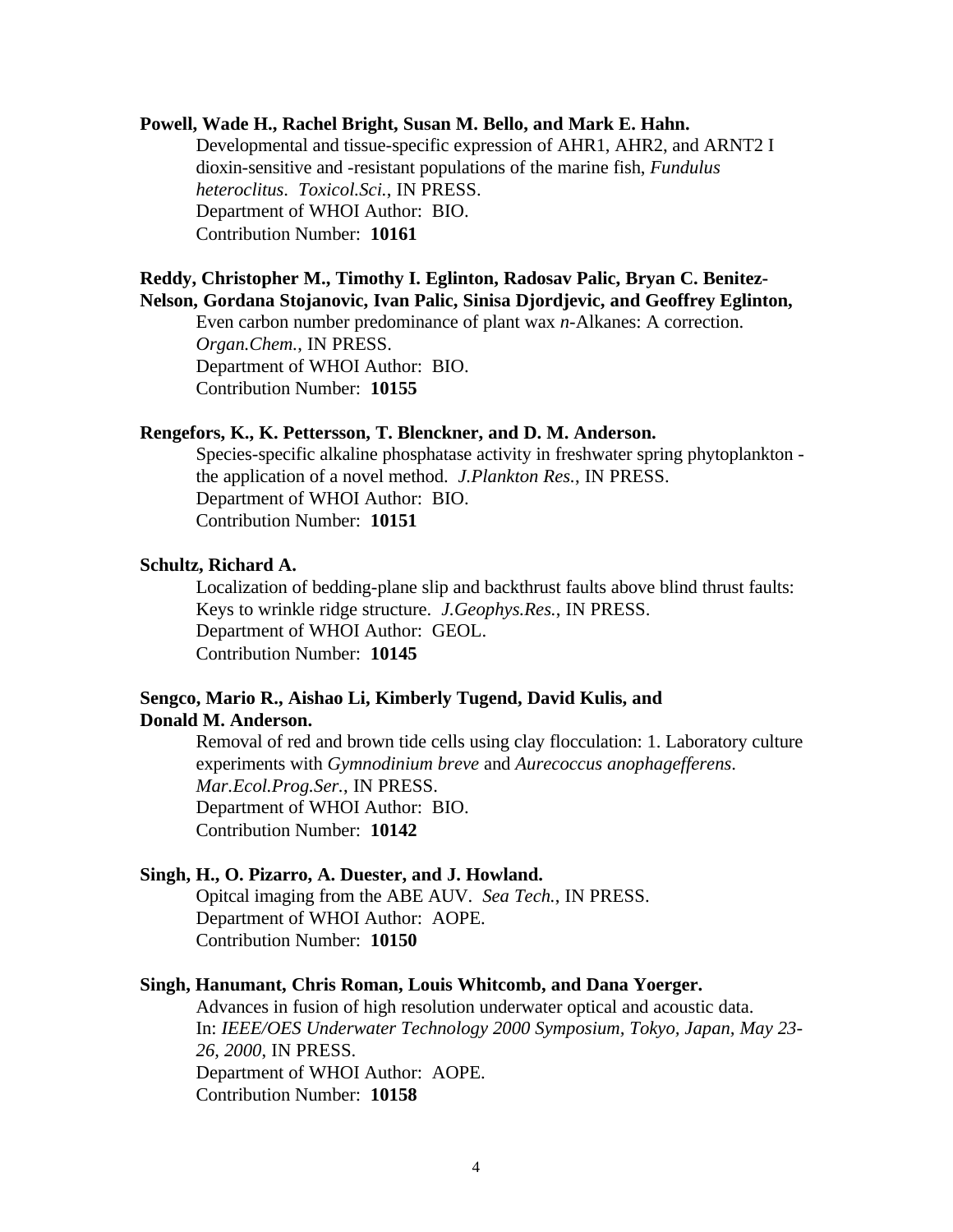#### **Powell, Wade H., Rachel Bright, Susan M. Bello, and Mark E. Hahn.**

Developmental and tissue-specific expression of AHR1, AHR2, and ARNT2 I dioxin-sensitive and -resistant populations of the marine fish, *Fundulus heteroclitus*. *Toxicol.Sci.*, IN PRESS. Department of WHOI Author: BIO. Contribution Number: **10161**

#### **Reddy, Christopher M., Timothy I. Eglinton, Radosav Palic, Bryan C. Benitez-Nelson, Gordana Stojanovic, Ivan Palic, Sinisa Djordjevic, and Geoffrey Eglinton,**

Even carbon number predominance of plant wax *n*-Alkanes: A correction. *Organ.Chem.*, IN PRESS. Department of WHOI Author: BIO. Contribution Number: **10155**

#### **Rengefors, K., K. Pettersson, T. Blenckner, and D. M. Anderson.**

Species-specific alkaline phosphatase activity in freshwater spring phytoplankton the application of a novel method. *J.Plankton Res.*, IN PRESS. Department of WHOI Author: BIO. Contribution Number: **10151**

#### **Schultz, Richard A.**

Localization of bedding-plane slip and backthrust faults above blind thrust faults: Keys to wrinkle ridge structure. *J.Geophys.Res.*, IN PRESS. Department of WHOI Author: GEOL. Contribution Number: **10145**

# **Sengco, Mario R., Aishao Li, Kimberly Tugend, David Kulis, and Donald M. Anderson.**

Removal of red and brown tide cells using clay flocculation: 1. Laboratory culture experiments with *Gymnodinium breve* and *Aurecoccus anophagefferens*. *Mar.Ecol.Prog.Ser.*, IN PRESS. Department of WHOI Author: BIO. Contribution Number: **10142**

#### **Singh, H., O. Pizarro, A. Duester, and J. Howland.**

Opitcal imaging from the ABE AUV. *Sea Tech.*, IN PRESS. Department of WHOI Author: AOPE. Contribution Number: **10150**

# **Singh, Hanumant, Chris Roman, Louis Whitcomb, and Dana Yoerger.**

Advances in fusion of high resolution underwater optical and acoustic data. In: *IEEE/OES Underwater Technology 2000 Symposium, Tokyo, Japan, May 23- 26, 2000*, IN PRESS. Department of WHOI Author: AOPE. Contribution Number: **10158**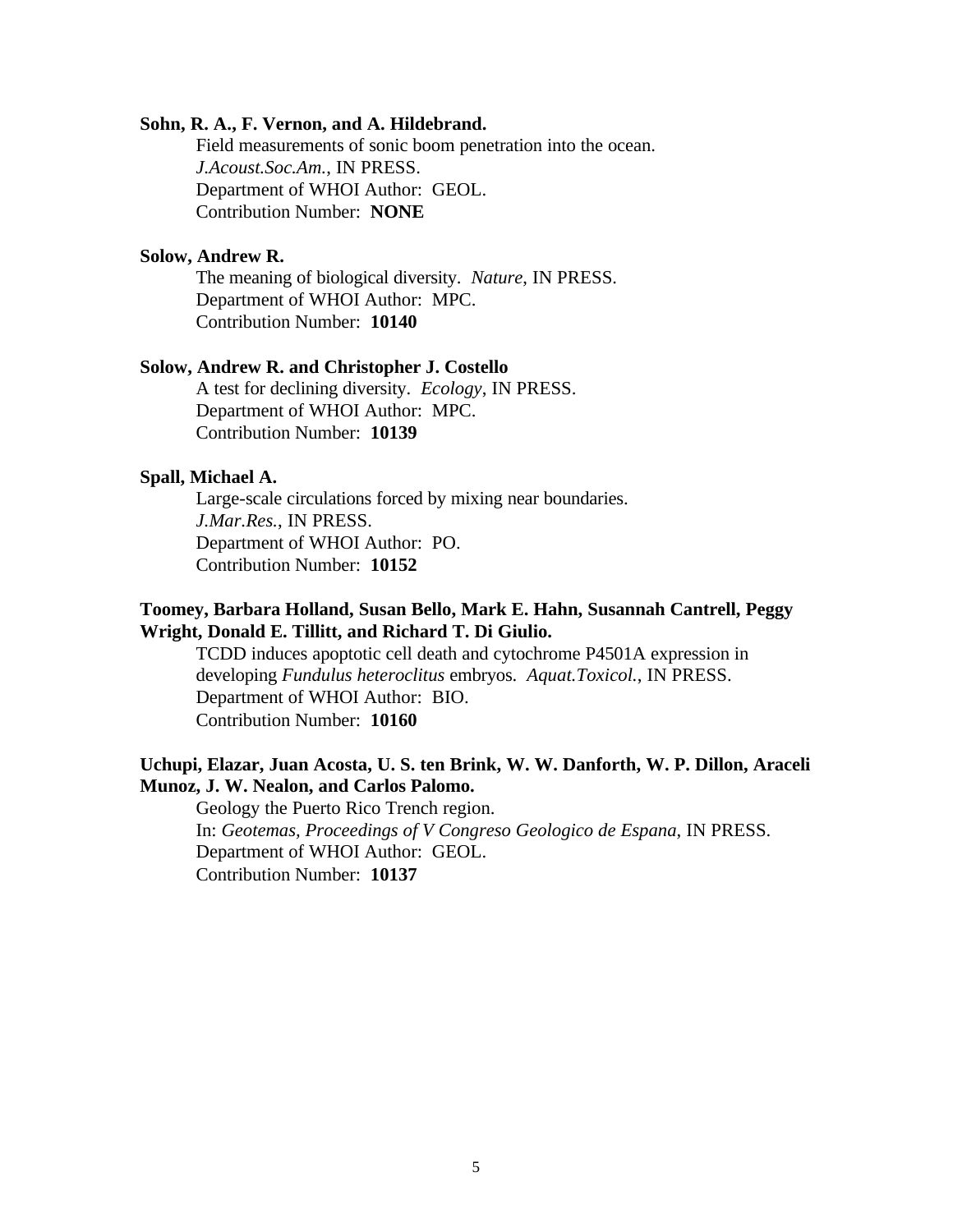#### **Sohn, R. A., F. Vernon, and A. Hildebrand.**

Field measurements of sonic boom penetration into the ocean. *J.Acoust.Soc.Am.*, IN PRESS. Department of WHOI Author: GEOL. Contribution Number: **NONE**

# **Solow, Andrew R.**

The meaning of biological diversity. *Nature*, IN PRESS. Department of WHOI Author: MPC. Contribution Number: **10140**

#### **Solow, Andrew R. and Christopher J. Costello**

A test for declining diversity. *Ecology*, IN PRESS. Department of WHOI Author: MPC. Contribution Number: **10139**

## **Spall, Michael A.**

Large-scale circulations forced by mixing near boundaries. *J.Mar.Res.*, IN PRESS. Department of WHOI Author: PO. Contribution Number: **10152**

# **Toomey, Barbara Holland, Susan Bello, Mark E. Hahn, Susannah Cantrell, Peggy Wright, Donald E. Tillitt, and Richard T. Di Giulio.**

TCDD induces apoptotic cell death and cytochrome P4501A expression in developing *Fundulus heteroclitus* embryos. *Aquat.Toxicol.*, IN PRESS. Department of WHOI Author: BIO. Contribution Number: **10160**

# **Uchupi, Elazar, Juan Acosta, U. S. ten Brink, W. W. Danforth, W. P. Dillon, Araceli Munoz, J. W. Nealon, and Carlos Palomo.**

Geology the Puerto Rico Trench region. In: *Geotemas, Proceedings of V Congreso Geologico de Espana*, IN PRESS. Department of WHOI Author: GEOL. Contribution Number: **10137**